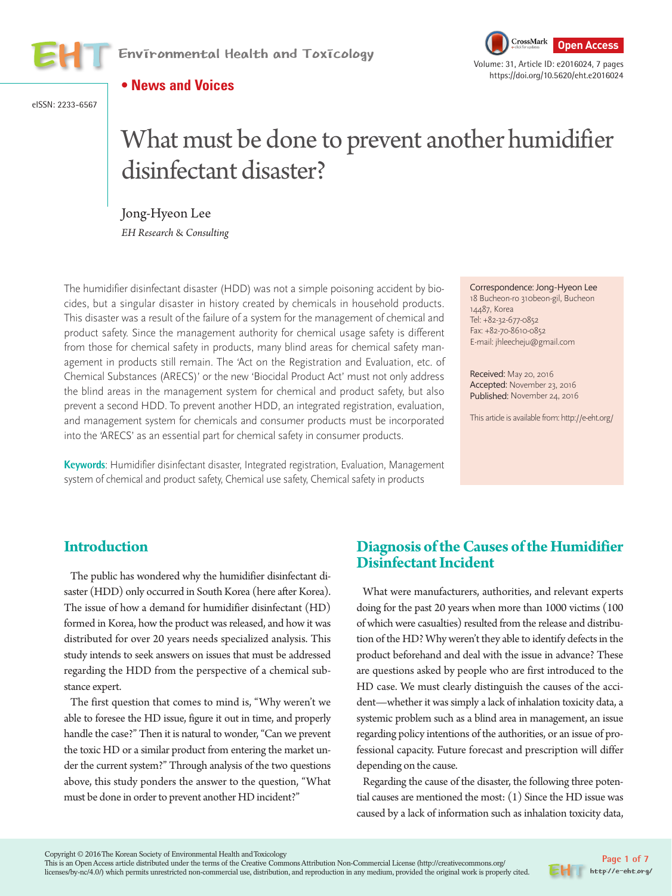

eISSN: 2233-6567





https://doi.org/10.5620/eht.e2016024

**• News and Voices**

# What must be done to prevent another humidifier disinfectant disaster?

Jong-Hyeon Lee *EH Research* & *Consulting* 

The humidifier disinfectant disaster (HDD) was not a simple poisoning accident by biocides, but a singular disaster in history created by chemicals in household products. This disaster was a result of the failure of a system for the management of chemical and product safety. Since the management authority for chemical usage safety is different from those for chemical safety in products, many blind areas for chemical safety management in products still remain. The 'Act on the Registration and Evaluation, etc. of Chemical Substances (ARECS)' or the new 'Biocidal Product Act' must not only address the blind areas in the management system for chemical and product safety, but also prevent a second HDD. To prevent another HDD, an integrated registration, evaluation, and management system for chemicals and consumer products must be incorporated into the 'ARECS' as an essential part for chemical safety in consumer products.

**Keywords**: Humidifier disinfectant disaster, Integrated registration, Evaluation, Management system of chemical and product safety, Chemical use safety, Chemical safety in products

Correspondence: Jong-Hyeon Lee 18 Bucheon-ro 310beon-gil, Bucheon 14487, Korea Tel: +82-32-677-0852 Fax: +82-70-8610-0852 E-mail: jhleecheju@gmail.com

Received: May 20, 2016 Accepted: November 23, 2016 Published: November 24, 2016

This article is available from: http://e-eht.org/

## **Introduction**

The public has wondered why the humidifier disinfectant disaster (HDD) only occurred in South Korea (here after Korea). The issue of how a demand for humidifier disinfectant (HD) formed in Korea, how the product was released, and how it was distributed for over 20 years needs specialized analysis. This study intends to seek answers on issues that must be addressed regarding the HDD from the perspective of a chemical substance expert.

The first question that comes to mind is, "Why weren't we able to foresee the HD issue, figure it out in time, and properly handle the case?" Then it is natural to wonder, "Can we prevent the toxic HD or a similar product from entering the market under the current system?" Through analysis of the two questions above, this study ponders the answer to the question, "What must be done in order to prevent another HD incident?"

# **Diagnosis of the Causes of the Humidifier Disinfectant Incident**

What were manufacturers, authorities, and relevant experts doing for the past 20 years when more than 1000 victims (100 of which were casualties) resulted from the release and distribution of the HD? Why weren't they able to identify defects in the product beforehand and deal with the issue in advance? These are questions asked by people who are first introduced to the HD case. We must clearly distinguish the causes of the accident—whether it was simply a lack of inhalation toxicity data, a systemic problem such as a blind area in management, an issue regarding policy intentions of the authorities, or an issue of professional capacity. Future forecast and prescription will differ depending on the cause.

Regarding the cause of the disaster, the following three potential causes are mentioned the most: (1) Since the HD issue was caused by a lack of information such as inhalation toxicity data,

Copyright © 2016 The Korean Society of Environmental Health and Toxicology

This is an Open Access article distributed under the terms of the Creative Commons Attribution Non-Commercial License (http://creativecommons.org/ licenses/by-nc/4.0/) which permits unrestricted non-commercial use, distribution, and reproduction in any medium, provided the original work is properly cited.

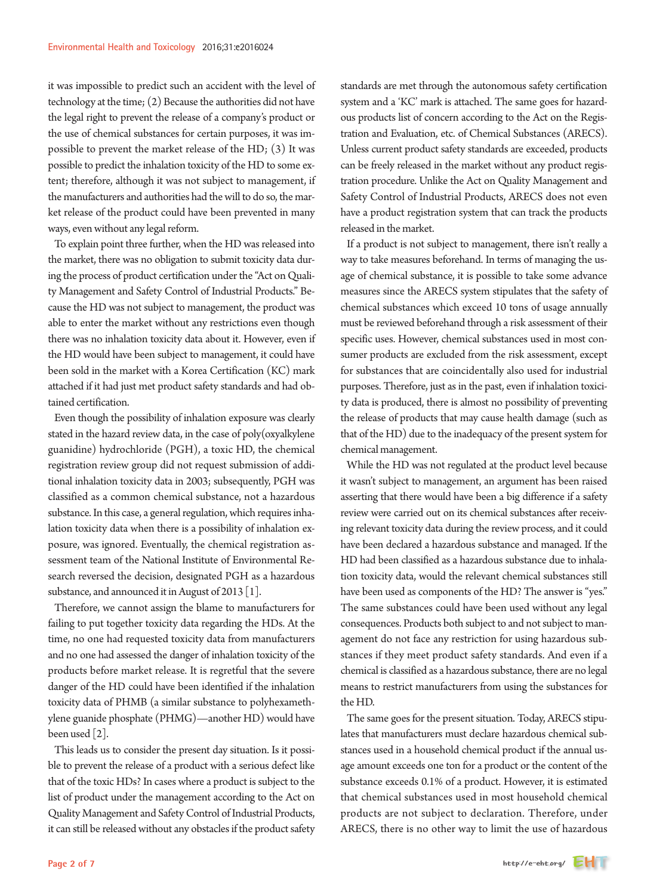it was impossible to predict such an accident with the level of technology at the time; (2) Because the authorities did not have the legal right to prevent the release of a company's product or the use of chemical substances for certain purposes, it was impossible to prevent the market release of the HD; (3) It was possible to predict the inhalation toxicity of the HD to some extent; therefore, although it was not subject to management, if the manufacturers and authorities had the will to do so, the market release of the product could have been prevented in many ways, even without any legal reform.

To explain point three further, when the HD was released into the market, there was no obligation to submit toxicity data during the process of product certification under the "Act on Quality Management and Safety Control of Industrial Products." Because the HD was not subject to management, the product was able to enter the market without any restrictions even though there was no inhalation toxicity data about it. However, even if the HD would have been subject to management, it could have been sold in the market with a Korea Certification (KC) mark attached if it had just met product safety standards and had obtained certification.

Even though the possibility of inhalation exposure was clearly stated in the hazard review data, in the case of poly(oxyalkylene guanidine) hydrochloride (PGH), a toxic HD, the chemical registration review group did not request submission of additional inhalation toxicity data in 2003; subsequently, PGH was classified as a common chemical substance, not a hazardous substance. In this case, a general regulation, which requires inhalation toxicity data when there is a possibility of inhalation exposure, was ignored. Eventually, the chemical registration assessment team of the National Institute of Environmental Research reversed the decision, designated PGH as a hazardous substance, and announced it in August of 2013 [1].

Therefore, we cannot assign the blame to manufacturers for failing to put together toxicity data regarding the HDs. At the time, no one had requested toxicity data from manufacturers and no one had assessed the danger of inhalation toxicity of the products before market release. It is regretful that the severe danger of the HD could have been identified if the inhalation toxicity data of PHMB (a similar substance to polyhexamethylene guanide phosphate (PHMG)—another HD) would have been used [2].

This leads us to consider the present day situation. Is it possible to prevent the release of a product with a serious defect like that of the toxic HDs? In cases where a product is subject to the list of product under the management according to the Act on Quality Management and Safety Control of Industrial Products, it can still be released without any obstacles if the product safety standards are met through the autonomous safety certification system and a 'KC' mark is attached. The same goes for hazardous products list of concern according to the Act on the Registration and Evaluation, etc. of Chemical Substances (ARECS). Unless current product safety standards are exceeded, products can be freely released in the market without any product registration procedure. Unlike the Act on Quality Management and Safety Control of Industrial Products, ARECS does not even have a product registration system that can track the products released in the market.

If a product is not subject to management, there isn't really a way to take measures beforehand. In terms of managing the usage of chemical substance, it is possible to take some advance measures since the ARECS system stipulates that the safety of chemical substances which exceed 10 tons of usage annually must be reviewed beforehand through a risk assessment of their specific uses. However, chemical substances used in most consumer products are excluded from the risk assessment, except for substances that are coincidentally also used for industrial purposes. Therefore, just as in the past, even if inhalation toxicity data is produced, there is almost no possibility of preventing the release of products that may cause health damage (such as that of the HD) due to the inadequacy of the present system for chemical management.

While the HD was not regulated at the product level because it wasn't subject to management, an argument has been raised asserting that there would have been a big difference if a safety review were carried out on its chemical substances after receiving relevant toxicity data during the review process, and it could have been declared a hazardous substance and managed. If the HD had been classified as a hazardous substance due to inhalation toxicity data, would the relevant chemical substances still have been used as components of the HD? The answer is "yes." The same substances could have been used without any legal consequences. Products both subject to and not subject to management do not face any restriction for using hazardous substances if they meet product safety standards. And even if a chemical is classified as a hazardous substance, there are no legal means to restrict manufacturers from using the substances for the HD.

The same goes for the present situation. Today, ARECS stipulates that manufacturers must declare hazardous chemical substances used in a household chemical product if the annual usage amount exceeds one ton for a product or the content of the substance exceeds 0.1% of a product. However, it is estimated that chemical substances used in most household chemical products are not subject to declaration. Therefore, under ARECS, there is no other way to limit the use of hazardous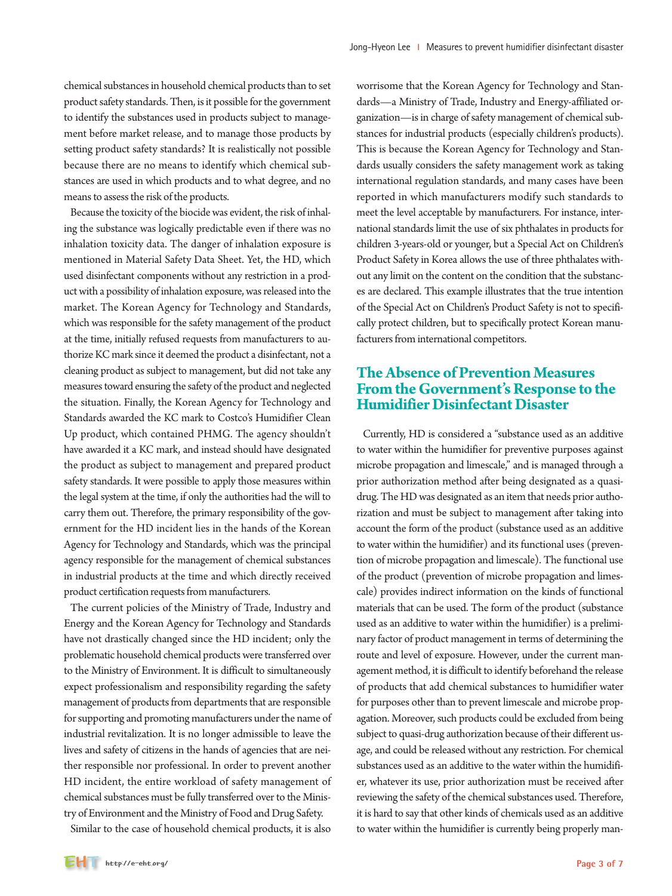chemical substances in household chemical products than to set product safety standards. Then, is it possible for the government to identify the substances used in products subject to management before market release, and to manage those products by setting product safety standards? It is realistically not possible because there are no means to identify which chemical substances are used in which products and to what degree, and no means to assess the risk of the products.

Because the toxicity of the biocide was evident, the risk of inhaling the substance was logically predictable even if there was no inhalation toxicity data. The danger of inhalation exposure is mentioned in Material Safety Data Sheet. Yet, the HD, which used disinfectant components without any restriction in a product with a possibility of inhalation exposure, was released into the market. The Korean Agency for Technology and Standards, which was responsible for the safety management of the product at the time, initially refused requests from manufacturers to authorize KC mark since it deemed the product a disinfectant, not a cleaning product as subject to management, but did not take any measures toward ensuring the safety of the product and neglected the situation. Finally, the Korean Agency for Technology and Standards awarded the KC mark to Costco's Humidifier Clean Up product, which contained PHMG. The agency shouldn't have awarded it a KC mark, and instead should have designated the product as subject to management and prepared product safety standards. It were possible to apply those measures within the legal system at the time, if only the authorities had the will to carry them out. Therefore, the primary responsibility of the government for the HD incident lies in the hands of the Korean Agency for Technology and Standards, which was the principal agency responsible for the management of chemical substances in industrial products at the time and which directly received product certification requests from manufacturers.

The current policies of the Ministry of Trade, Industry and Energy and the Korean Agency for Technology and Standards have not drastically changed since the HD incident; only the problematic household chemical products were transferred over to the Ministry of Environment. It is difficult to simultaneously expect professionalism and responsibility regarding the safety management of products from departments that are responsible for supporting and promoting manufacturers under the name of industrial revitalization. It is no longer admissible to leave the lives and safety of citizens in the hands of agencies that are neither responsible nor professional. In order to prevent another HD incident, the entire workload of safety management of chemical substances must be fully transferred over to the Ministry of Environment and the Ministry of Food and Drug Safety.

Similar to the case of household chemical products, it is also

worrisome that the Korean Agency for Technology and Standards—a Ministry of Trade, Industry and Energy-affiliated organization—is in charge of safety management of chemical substances for industrial products (especially children's products). This is because the Korean Agency for Technology and Standards usually considers the safety management work as taking international regulation standards, and many cases have been reported in which manufacturers modify such standards to meet the level acceptable by manufacturers. For instance, international standards limit the use of six phthalates in products for children 3-years-old or younger, but a Special Act on Children's Product Safety in Korea allows the use of three phthalates without any limit on the content on the condition that the substances are declared. This example illustrates that the true intention of the Special Act on Children's Product Safety is not to specifically protect children, but to specifically protect Korean manufacturers from international competitors.

## **The Absence of Prevention Measures From the Government's Response to the Humidifier Disinfectant Disaster**

Currently, HD is considered a "substance used as an additive to water within the humidifier for preventive purposes against microbe propagation and limescale," and is managed through a prior authorization method after being designated as a quasidrug. The HD was designated as an item that needs prior authorization and must be subject to management after taking into account the form of the product (substance used as an additive to water within the humidifier) and its functional uses (prevention of microbe propagation and limescale). The functional use of the product (prevention of microbe propagation and limescale) provides indirect information on the kinds of functional materials that can be used. The form of the product (substance used as an additive to water within the humidifier) is a preliminary factor of product management in terms of determining the route and level of exposure. However, under the current management method, it is difficult to identify beforehand the release of products that add chemical substances to humidifier water for purposes other than to prevent limescale and microbe propagation. Moreover, such products could be excluded from being subject to quasi-drug authorization because of their different usage, and could be released without any restriction. For chemical substances used as an additive to the water within the humidifier, whatever its use, prior authorization must be received after reviewing the safety of the chemical substances used. Therefore, it is hard to say that other kinds of chemicals used as an additive to water within the humidifier is currently being properly man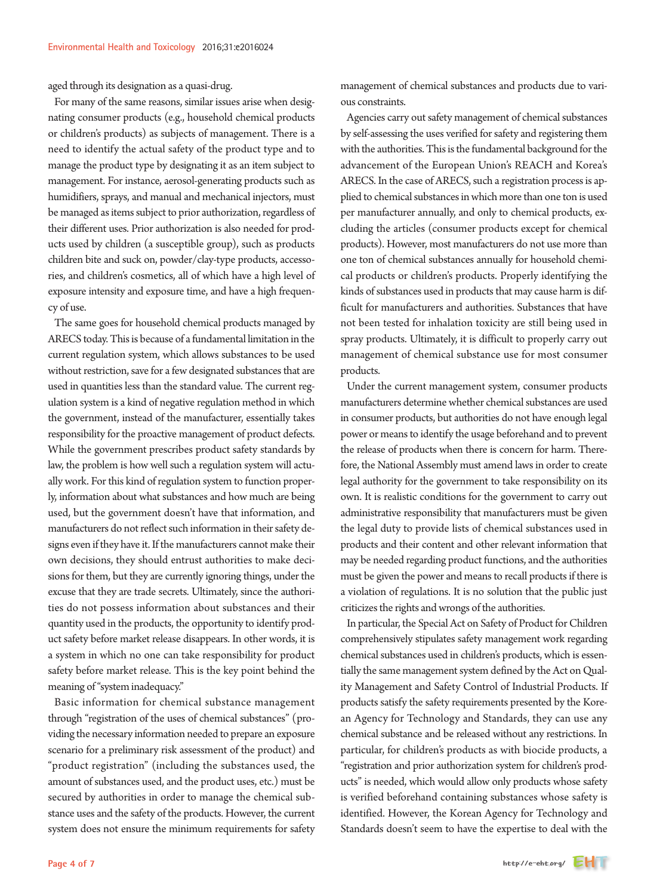aged through its designation as a quasi-drug.

For many of the same reasons, similar issues arise when designating consumer products (e.g., household chemical products or children's products) as subjects of management. There is a need to identify the actual safety of the product type and to manage the product type by designating it as an item subject to management. For instance, aerosol-generating products such as humidifiers, sprays, and manual and mechanical injectors, must be managed as items subject to prior authorization, regardless of their different uses. Prior authorization is also needed for products used by children (a susceptible group), such as products children bite and suck on, powder/clay-type products, accessories, and children's cosmetics, all of which have a high level of exposure intensity and exposure time, and have a high frequency of use.

The same goes for household chemical products managed by ARECS today. This is because of a fundamental limitation in the current regulation system, which allows substances to be used without restriction, save for a few designated substances that are used in quantities less than the standard value. The current regulation system is a kind of negative regulation method in which the government, instead of the manufacturer, essentially takes responsibility for the proactive management of product defects. While the government prescribes product safety standards by law, the problem is how well such a regulation system will actually work. For this kind of regulation system to function properly, information about what substances and how much are being used, but the government doesn't have that information, and manufacturers do not reflect such information in their safety designs even if they have it. If the manufacturers cannot make their own decisions, they should entrust authorities to make decisions for them, but they are currently ignoring things, under the excuse that they are trade secrets. Ultimately, since the authorities do not possess information about substances and their quantity used in the products, the opportunity to identify product safety before market release disappears. In other words, it is a system in which no one can take responsibility for product safety before market release. This is the key point behind the meaning of "system inadequacy."

Basic information for chemical substance management through "registration of the uses of chemical substances" (providing the necessary information needed to prepare an exposure scenario for a preliminary risk assessment of the product) and "product registration" (including the substances used, the amount of substances used, and the product uses, etc.) must be secured by authorities in order to manage the chemical substance uses and the safety of the products. However, the current system does not ensure the minimum requirements for safety management of chemical substances and products due to various constraints.

Agencies carry out safety management of chemical substances by self-assessing the uses verified for safety and registering them with the authorities. This is the fundamental background for the advancement of the European Union's REACH and Korea's ARECS. In the case of ARECS, such a registration process is applied to chemical substances in which more than one ton is used per manufacturer annually, and only to chemical products, excluding the articles (consumer products except for chemical products). However, most manufacturers do not use more than one ton of chemical substances annually for household chemical products or children's products. Properly identifying the kinds of substances used in products that may cause harm is difficult for manufacturers and authorities. Substances that have not been tested for inhalation toxicity are still being used in spray products. Ultimately, it is difficult to properly carry out management of chemical substance use for most consumer products.

Under the current management system, consumer products manufacturers determine whether chemical substances are used in consumer products, but authorities do not have enough legal power or means to identify the usage beforehand and to prevent the release of products when there is concern for harm. Therefore, the National Assembly must amend laws in order to create legal authority for the government to take responsibility on its own. It is realistic conditions for the government to carry out administrative responsibility that manufacturers must be given the legal duty to provide lists of chemical substances used in products and their content and other relevant information that may be needed regarding product functions, and the authorities must be given the power and means to recall products if there is a violation of regulations. It is no solution that the public just criticizes the rights and wrongs of the authorities.

In particular, the Special Act on Safety of Product for Children comprehensively stipulates safety management work regarding chemical substances used in children's products, which is essentially the same management system defined by the Act on Quality Management and Safety Control of Industrial Products. If products satisfy the safety requirements presented by the Korean Agency for Technology and Standards, they can use any chemical substance and be released without any restrictions. In particular, for children's products as with biocide products, a "registration and prior authorization system for children's products" is needed, which would allow only products whose safety is verified beforehand containing substances whose safety is identified. However, the Korean Agency for Technology and Standards doesn't seem to have the expertise to deal with the

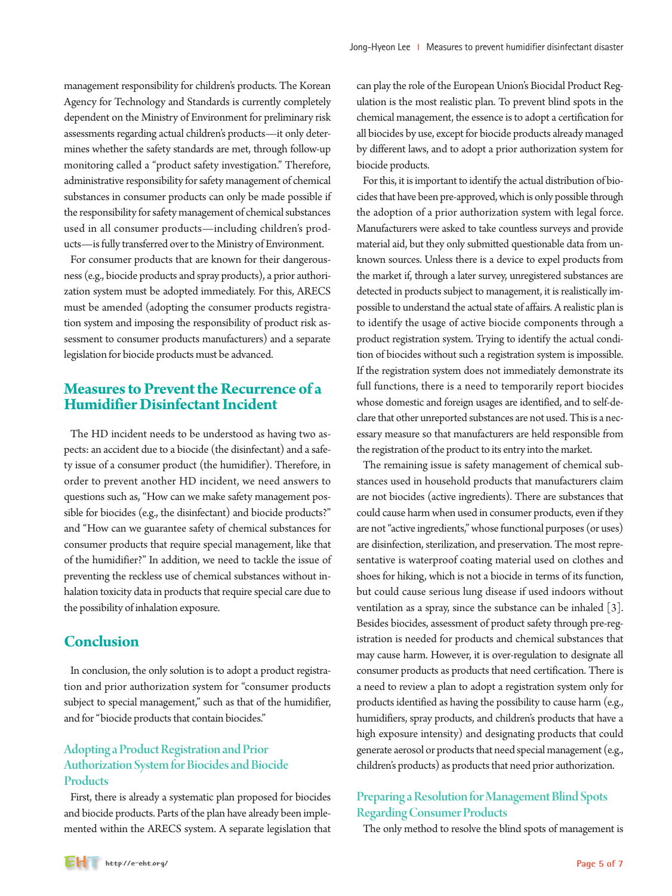management responsibility for children's products. The Korean Agency for Technology and Standards is currently completely dependent on the Ministry of Environment for preliminary risk assessments regarding actual children's products—it only determines whether the safety standards are met, through follow-up monitoring called a "product safety investigation." Therefore, administrative responsibility for safety management of chemical substances in consumer products can only be made possible if the responsibility for safety management of chemical substances used in all consumer products—including children's products—is fully transferred over to the Ministry of Environment.

For consumer products that are known for their dangerousness (e.g., biocide products and spray products), a prior authorization system must be adopted immediately. For this, ARECS must be amended (adopting the consumer products registration system and imposing the responsibility of product risk assessment to consumer products manufacturers) and a separate legislation for biocide products must be advanced.

# **Measures to Prevent the Recurrence of a Humidifier Disinfectant Incident**

The HD incident needs to be understood as having two aspects: an accident due to a biocide (the disinfectant) and a safety issue of a consumer product (the humidifier). Therefore, in order to prevent another HD incident, we need answers to questions such as, "How can we make safety management possible for biocides (e.g., the disinfectant) and biocide products?" and "How can we guarantee safety of chemical substances for consumer products that require special management, like that of the humidifier?" In addition, we need to tackle the issue of preventing the reckless use of chemical substances without inhalation toxicity data in products that require special care due to the possibility of inhalation exposure.

#### **Conclusion**

In conclusion, the only solution is to adopt a product registration and prior authorization system for "consumer products subject to special management," such as that of the humidifier, and for "biocide products that contain biocides."

#### Adopting a Product Registration and Prior Authorization System for Biocides and Biocide **Products**

First, there is already a systematic plan proposed for biocides and biocide products. Parts of the plan have already been implemented within the ARECS system. A separate legislation that can play the role of the European Union's Biocidal Product Regulation is the most realistic plan. To prevent blind spots in the chemical management, the essence is to adopt a certification for all biocides by use, except for biocide products already managed by different laws, and to adopt a prior authorization system for biocide products.

For this, it is important to identify the actual distribution of biocides that have been pre-approved, which is only possible through the adoption of a prior authorization system with legal force. Manufacturers were asked to take countless surveys and provide material aid, but they only submitted questionable data from unknown sources. Unless there is a device to expel products from the market if, through a later survey, unregistered substances are detected in products subject to management, it is realistically impossible to understand the actual state of affairs. A realistic plan is to identify the usage of active biocide components through a product registration system. Trying to identify the actual condition of biocides without such a registration system is impossible. If the registration system does not immediately demonstrate its full functions, there is a need to temporarily report biocides whose domestic and foreign usages are identified, and to self-declare that other unreported substances are not used. This is a necessary measure so that manufacturers are held responsible from the registration of the product to its entry into the market.

The remaining issue is safety management of chemical substances used in household products that manufacturers claim are not biocides (active ingredients). There are substances that could cause harm when used in consumer products, even if they are not "active ingredients," whose functional purposes (or uses) are disinfection, sterilization, and preservation. The most representative is waterproof coating material used on clothes and shoes for hiking, which is not a biocide in terms of its function, but could cause serious lung disease if used indoors without ventilation as a spray, since the substance can be inhaled [3]. Besides biocides, assessment of product safety through pre-registration is needed for products and chemical substances that may cause harm. However, it is over-regulation to designate all consumer products as products that need certification. There is a need to review a plan to adopt a registration system only for products identified as having the possibility to cause harm (e.g., humidifiers, spray products, and children's products that have a high exposure intensity) and designating products that could generate aerosol or products that need special management (e.g., children's products) as products that need prior authorization.

#### Preparing a Resolution for Management Blind Spots Regarding Consumer Products

The only method to resolve the blind spots of management is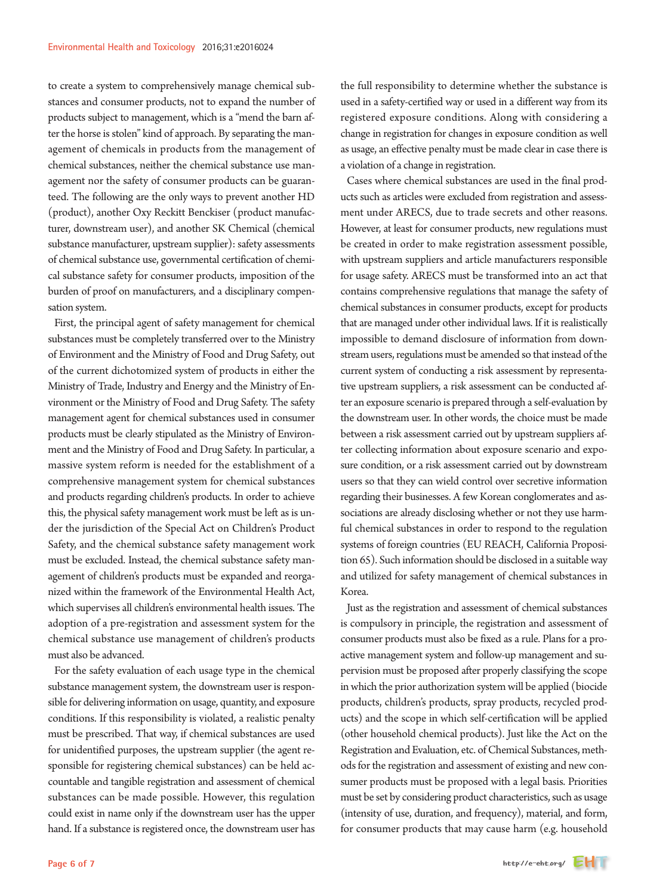to create a system to comprehensively manage chemical substances and consumer products, not to expand the number of products subject to management, which is a "mend the barn after the horse is stolen" kind of approach. By separating the management of chemicals in products from the management of chemical substances, neither the chemical substance use management nor the safety of consumer products can be guaranteed. The following are the only ways to prevent another HD (product), another Oxy Reckitt Benckiser (product manufacturer, downstream user), and another SK Chemical (chemical substance manufacturer, upstream supplier): safety assessments of chemical substance use, governmental certification of chemical substance safety for consumer products, imposition of the burden of proof on manufacturers, and a disciplinary compensation system.

First, the principal agent of safety management for chemical substances must be completely transferred over to the Ministry of Environment and the Ministry of Food and Drug Safety, out of the current dichotomized system of products in either the Ministry of Trade, Industry and Energy and the Ministry of Environment or the Ministry of Food and Drug Safety. The safety management agent for chemical substances used in consumer products must be clearly stipulated as the Ministry of Environment and the Ministry of Food and Drug Safety. In particular, a massive system reform is needed for the establishment of a comprehensive management system for chemical substances and products regarding children's products. In order to achieve this, the physical safety management work must be left as is under the jurisdiction of the Special Act on Children's Product Safety, and the chemical substance safety management work must be excluded. Instead, the chemical substance safety management of children's products must be expanded and reorganized within the framework of the Environmental Health Act, which supervises all children's environmental health issues. The adoption of a pre-registration and assessment system for the chemical substance use management of children's products must also be advanced.

For the safety evaluation of each usage type in the chemical substance management system, the downstream user is responsible for delivering information on usage, quantity, and exposure conditions. If this responsibility is violated, a realistic penalty must be prescribed. That way, if chemical substances are used for unidentified purposes, the upstream supplier (the agent responsible for registering chemical substances) can be held accountable and tangible registration and assessment of chemical substances can be made possible. However, this regulation could exist in name only if the downstream user has the upper hand. If a substance is registered once, the downstream user has

the full responsibility to determine whether the substance is used in a safety-certified way or used in a different way from its registered exposure conditions. Along with considering a change in registration for changes in exposure condition as well as usage, an effective penalty must be made clear in case there is a violation of a change in registration.

Cases where chemical substances are used in the final products such as articles were excluded from registration and assessment under ARECS, due to trade secrets and other reasons. However, at least for consumer products, new regulations must be created in order to make registration assessment possible, with upstream suppliers and article manufacturers responsible for usage safety. ARECS must be transformed into an act that contains comprehensive regulations that manage the safety of chemical substances in consumer products, except for products that are managed under other individual laws. If it is realistically impossible to demand disclosure of information from downstream users, regulations must be amended so that instead of the current system of conducting a risk assessment by representative upstream suppliers, a risk assessment can be conducted after an exposure scenario is prepared through a self-evaluation by the downstream user. In other words, the choice must be made between a risk assessment carried out by upstream suppliers after collecting information about exposure scenario and exposure condition, or a risk assessment carried out by downstream users so that they can wield control over secretive information regarding their businesses. A few Korean conglomerates and associations are already disclosing whether or not they use harmful chemical substances in order to respond to the regulation systems of foreign countries (EU REACH, California Proposition 65). Such information should be disclosed in a suitable way and utilized for safety management of chemical substances in Korea.

Just as the registration and assessment of chemical substances is compulsory in principle, the registration and assessment of consumer products must also be fixed as a rule. Plans for a proactive management system and follow-up management and supervision must be proposed after properly classifying the scope in which the prior authorization system will be applied (biocide products, children's products, spray products, recycled products) and the scope in which self-certification will be applied (other household chemical products). Just like the Act on the Registration and Evaluation, etc. of Chemical Substances, methods for the registration and assessment of existing and new consumer products must be proposed with a legal basis. Priorities must be set by considering product characteristics, such as usage (intensity of use, duration, and frequency), material, and form, for consumer products that may cause harm (e.g. household